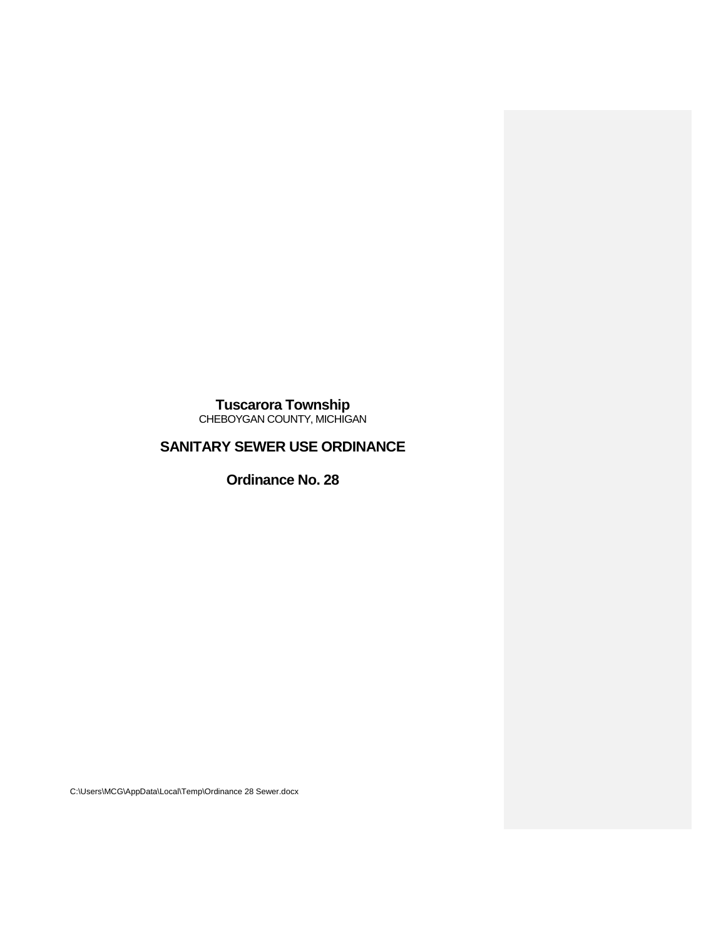**Tuscarora Township** CHEBOYGAN COUNTY, MICHIGAN

# **SANITARY SEWER USE ORDINANCE**

**Ordinance No. 28**

C:\Users\MCG\AppData\Local\Temp\Ordinance 28 Sewer.docx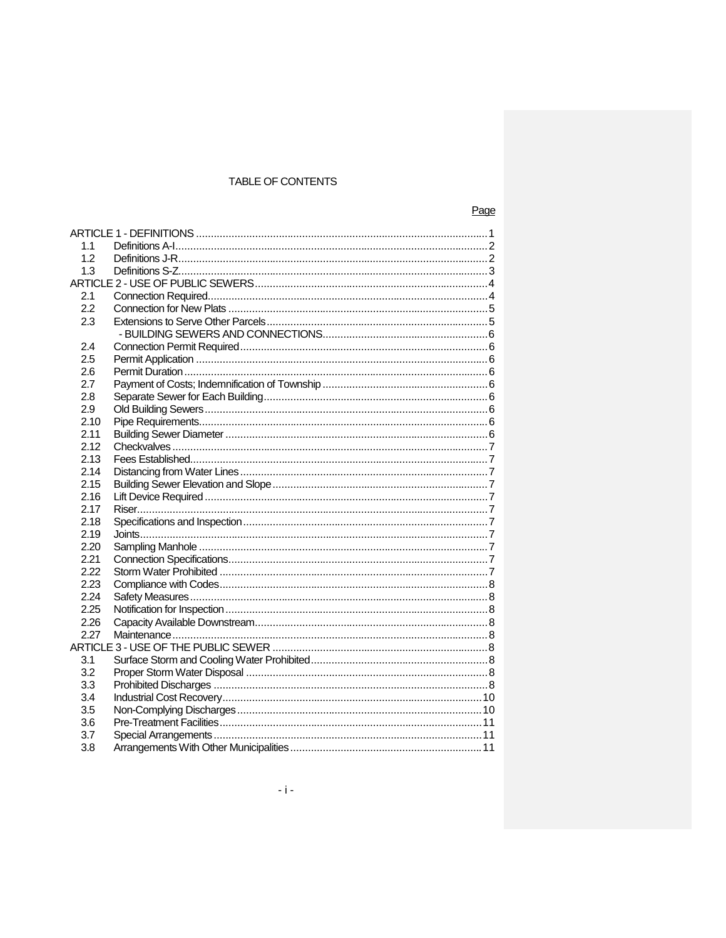# TABLE OF CONTENTS

|--|

| 1.1  |  |  |  |
|------|--|--|--|
| 1.2  |  |  |  |
| 1.3  |  |  |  |
|      |  |  |  |
| 2.1  |  |  |  |
| 2.2  |  |  |  |
| 2.3  |  |  |  |
|      |  |  |  |
| 2.4  |  |  |  |
| 2.5  |  |  |  |
| 2.6  |  |  |  |
| 2.7  |  |  |  |
| 2.8  |  |  |  |
| 2.9  |  |  |  |
| 2.10 |  |  |  |
| 2.11 |  |  |  |
| 2.12 |  |  |  |
| 2.13 |  |  |  |
| 2.14 |  |  |  |
| 2.15 |  |  |  |
| 2.16 |  |  |  |
| 2.17 |  |  |  |
| 2.18 |  |  |  |
| 2.19 |  |  |  |
| 2.20 |  |  |  |
| 2.21 |  |  |  |
| 2.22 |  |  |  |
| 2.23 |  |  |  |
| 2.24 |  |  |  |
| 2.25 |  |  |  |
| 2.26 |  |  |  |
| 2.27 |  |  |  |
|      |  |  |  |
| 3.1  |  |  |  |
| 3.2  |  |  |  |
| 3.3  |  |  |  |
| 3.4  |  |  |  |
| 3.5  |  |  |  |
| 3.6  |  |  |  |
| 3.7  |  |  |  |
| 3.8  |  |  |  |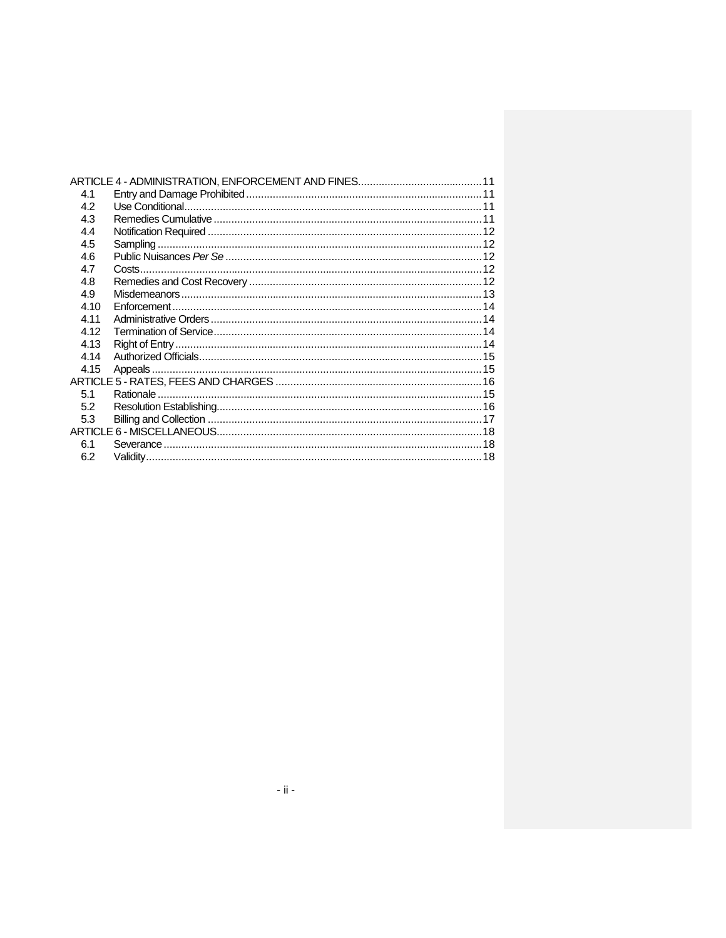| 4.1  |  |  |
|------|--|--|
| 4.2  |  |  |
| 4.3  |  |  |
| 4.4  |  |  |
| 4.5  |  |  |
| 4.6  |  |  |
| 4.7  |  |  |
| 4.8  |  |  |
| 4.9  |  |  |
| 4.10 |  |  |
| 4.11 |  |  |
| 4.12 |  |  |
| 4.13 |  |  |
| 4.14 |  |  |
| 4.15 |  |  |
|      |  |  |
| 5.1  |  |  |
| 5.2  |  |  |
| 5.3  |  |  |
|      |  |  |
| 6.1  |  |  |
| 6.2  |  |  |
|      |  |  |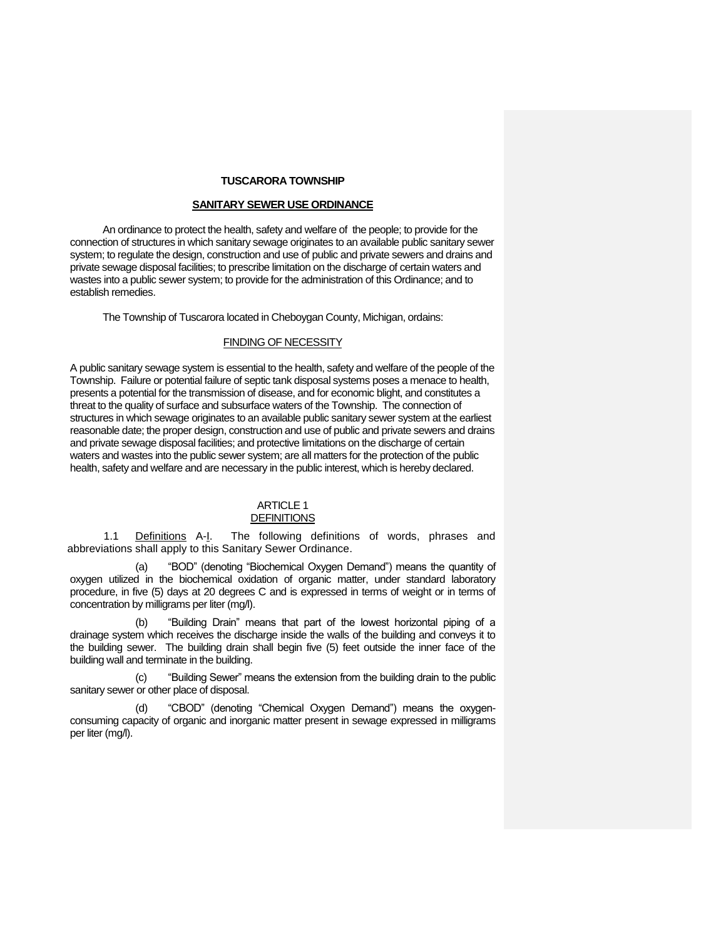#### **TUSCARORA TOWNSHIP**

#### **SANITARY SEWER USE ORDINANCE**

An ordinance to protect the health, safety and welfare of the people; to provide for the connection of structures in which sanitary sewage originates to an available public sanitary sewer system; to regulate the design, construction and use of public and private sewers and drains and private sewage disposal facilities; to prescribe limitation on the discharge of certain waters and wastes into a public sewer system; to provide for the administration of this Ordinance; and to establish remedies.

The Township of Tuscarora located in Cheboygan County, Michigan, ordains:

#### FINDING OF NECESSITY

A public sanitary sewage system is essential to the health, safety and welfare of the people of the Township. Failure or potential failure of septic tank disposal systems poses a menace to health, presents a potential for the transmission of disease, and for economic blight, and constitutes a threat to the quality of surface and subsurface waters of the Township. The connection of structures in which sewage originates to an available public sanitary sewer system at the earliest reasonable date; the proper design, construction and use of public and private sewers and drains and private sewage disposal facilities; and protective limitations on the discharge of certain waters and wastes into the public sewer system; are all matters for the protection of the public health, safety and welfare and are necessary in the public interest, which is hereby declared.

# ARTICLE 1 **DEFINITIONS**

1.1 Definitions A-I. The following definitions of words, phrases and abbreviations shall apply to this Sanitary Sewer Ordinance.

(a) "BOD" (denoting "Biochemical Oxygen Demand") means the quantity of oxygen utilized in the biochemical oxidation of organic matter, under standard laboratory procedure, in five (5) days at 20 degrees C and is expressed in terms of weight or in terms of concentration by milligrams per liter (mg/l).

"Building Drain" means that part of the lowest horizontal piping of a drainage system which receives the discharge inside the walls of the building and conveys it to the building sewer. The building drain shall begin five (5) feet outside the inner face of the building wall and terminate in the building.

(c) "Building Sewer" means the extension from the building drain to the public sanitary sewer or other place of disposal.

(d) "CBOD" (denoting "Chemical Oxygen Demand") means the oxygenconsuming capacity of organic and inorganic matter present in sewage expressed in milligrams per liter (mg/l).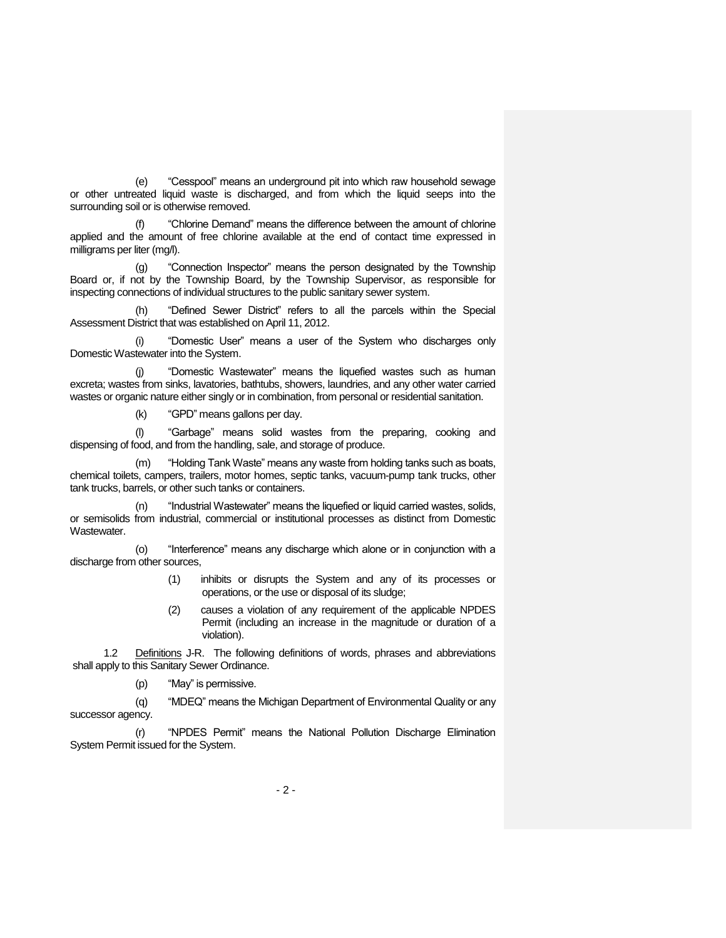(e) "Cesspool" means an underground pit into which raw household sewage or other untreated liquid waste is discharged, and from which the liquid seeps into the surrounding soil or is otherwise removed.

"Chlorine Demand" means the difference between the amount of chlorine applied and the amount of free chlorine available at the end of contact time expressed in milligrams per liter (mg/l).

(g) "Connection Inspector" means the person designated by the Township Board or, if not by the Township Board, by the Township Supervisor, as responsible for inspecting connections of individual structures to the public sanitary sewer system.

(h) "Defined Sewer District" refers to all the parcels within the Special Assessment District that was established on April 11, 2012.

(i) "Domestic User" means a user of the System who discharges only Domestic Wastewater into the System.

"Domestic Wastewater" means the liquefied wastes such as human excreta; wastes from sinks, lavatories, bathtubs, showers, laundries, and any other water carried wastes or organic nature either singly or in combination, from personal or residential sanitation.

(k) "GPD" means gallons per day.

(l) "Garbage" means solid wastes from the preparing, cooking and dispensing of food, and from the handling, sale, and storage of produce.

(m) "Holding Tank Waste" means any waste from holding tanks such as boats, chemical toilets, campers, trailers, motor homes, septic tanks, vacuum-pump tank trucks, other tank trucks, barrels, or other such tanks or containers.

"Industrial Wastewater" means the liquefied or liquid carried wastes, solids, or semisolids from industrial, commercial or institutional processes as distinct from Domestic Wastewater.

(o) "Interference" means any discharge which alone or in conjunction with a discharge from other sources,

- (1) inhibits or disrupts the System and any of its processes or operations, or the use or disposal of its sludge;
- (2) causes a violation of any requirement of the applicable NPDES Permit (including an increase in the magnitude or duration of a violation).

1.2 Definitions J-R. The following definitions of words, phrases and abbreviations shall apply to this Sanitary Sewer Ordinance.

(p) "May" is permissive.

(q) "MDEQ" means the Michigan Department of Environmental Quality or any successor agency.

(r) "NPDES Permit" means the National Pollution Discharge Elimination System Permit issued for the System.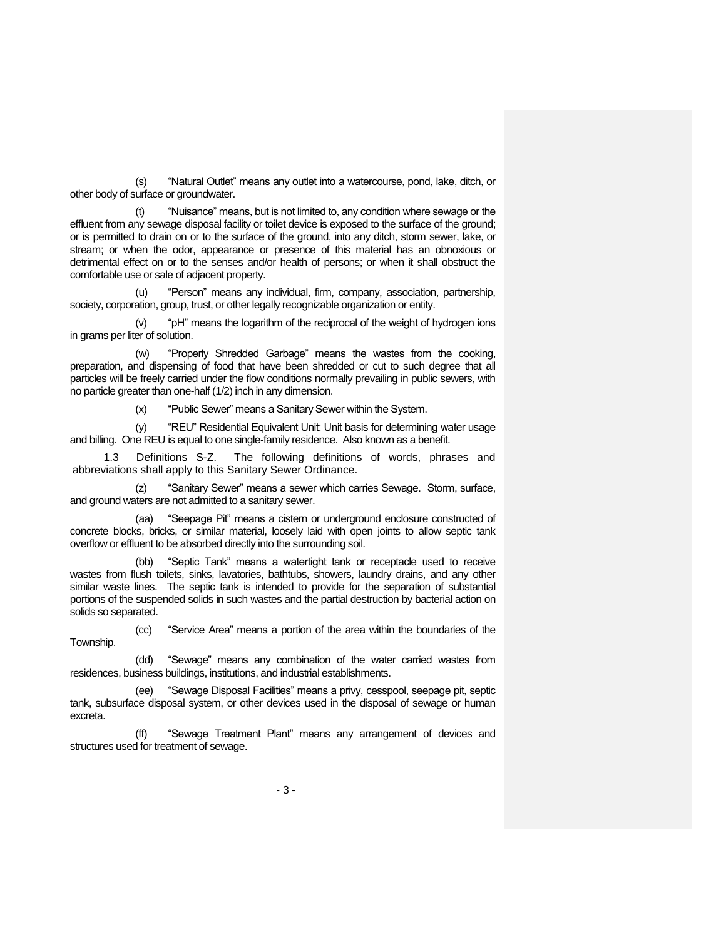(s) "Natural Outlet" means any outlet into a watercourse, pond, lake, ditch, or other body of surface or groundwater.

"Nuisance" means, but is not limited to, any condition where sewage or the effluent from any sewage disposal facility or toilet device is exposed to the surface of the ground; or is permitted to drain on or to the surface of the ground, into any ditch, storm sewer, lake, or stream; or when the odor, appearance or presence of this material has an obnoxious or detrimental effect on or to the senses and/or health of persons; or when it shall obstruct the comfortable use or sale of adjacent property.

(u) "Person" means any individual, firm, company, association, partnership, society, corporation, group, trust, or other legally recognizable organization or entity.

(v) "pH" means the logarithm of the reciprocal of the weight of hydrogen ions in grams per liter of solution.

(w) "Properly Shredded Garbage" means the wastes from the cooking, preparation, and dispensing of food that have been shredded or cut to such degree that all particles will be freely carried under the flow conditions normally prevailing in public sewers, with no particle greater than one-half (1/2) inch in any dimension.

(x) "Public Sewer" means a Sanitary Sewer within the System.

(y) "REU" Residential Equivalent Unit: Unit basis for determining water usage and billing. One REU is equal to one single-family residence. Also known as a benefit.

1.3 Definitions S-Z. The following definitions of words, phrases and abbreviations shall apply to this Sanitary Sewer Ordinance.

(z) "Sanitary Sewer" means a sewer which carries Sewage. Storm, surface, and ground waters are not admitted to a sanitary sewer.

(aa) "Seepage Pit" means a cistern or underground enclosure constructed of concrete blocks, bricks, or similar material, loosely laid with open joints to allow septic tank overflow or effluent to be absorbed directly into the surrounding soil.

(bb) "Septic Tank" means a watertight tank or receptacle used to receive wastes from flush toilets, sinks, lavatories, bathtubs, showers, laundry drains, and any other similar waste lines. The septic tank is intended to provide for the separation of substantial portions of the suspended solids in such wastes and the partial destruction by bacterial action on solids so separated.

(cc) "Service Area" means a portion of the area within the boundaries of the Township.

(dd) "Sewage" means any combination of the water carried wastes from residences, business buildings, institutions, and industrial establishments.

(ee) "Sewage Disposal Facilities" means a privy, cesspool, seepage pit, septic tank, subsurface disposal system, or other devices used in the disposal of sewage or human excreta.

(ff) "Sewage Treatment Plant" means any arrangement of devices and structures used for treatment of sewage.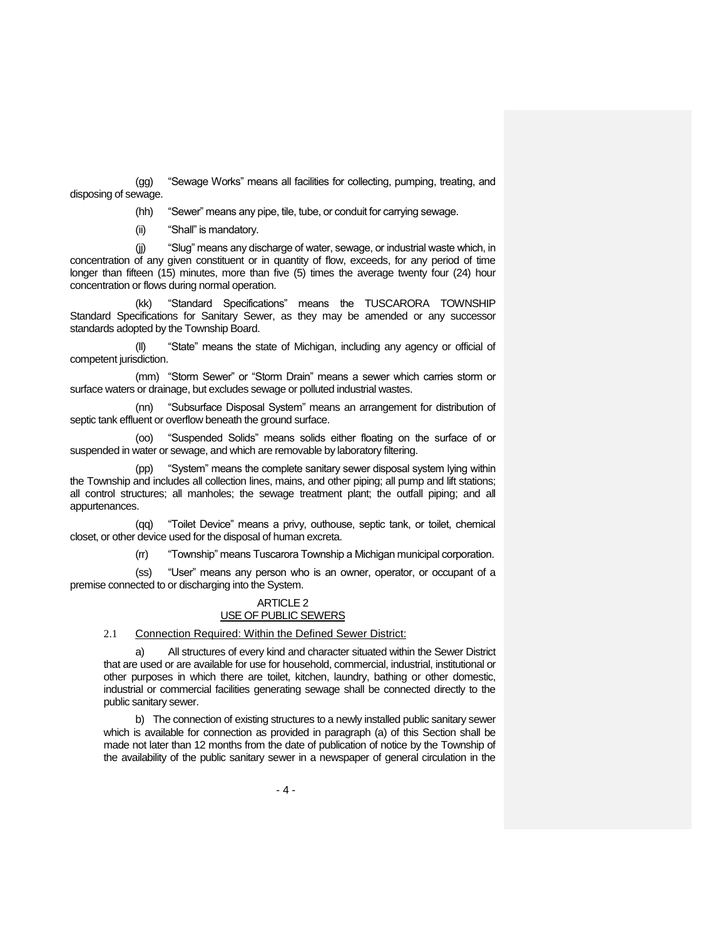(gg) "Sewage Works" means all facilities for collecting, pumping, treating, and disposing of sewage.

(hh) "Sewer" means any pipe, tile, tube, or conduit for carrying sewage.

(ii) "Shall" is mandatory.

(jj) "Slug" means any discharge of water, sewage, or industrial waste which, in concentration of any given constituent or in quantity of flow, exceeds, for any period of time longer than fifteen (15) minutes, more than five (5) times the average twenty four (24) hour concentration or flows during normal operation.

(kk) "Standard Specifications" means the TUSCARORA TOWNSHIP Standard Specifications for Sanitary Sewer, as they may be amended or any successor standards adopted by the Township Board.

(ll) "State" means the state of Michigan, including any agency or official of competent jurisdiction.

(mm) "Storm Sewer" or "Storm Drain" means a sewer which carries storm or surface waters or drainage, but excludes sewage or polluted industrial wastes.

(nn) "Subsurface Disposal System" means an arrangement for distribution of septic tank effluent or overflow beneath the ground surface.

(oo) "Suspended Solids" means solids either floating on the surface of or suspended in water or sewage, and which are removable by laboratory filtering.

(pp) "System" means the complete sanitary sewer disposal system lying within the Township and includes all collection lines, mains, and other piping; all pump and lift stations; all control structures; all manholes; the sewage treatment plant; the outfall piping; and all appurtenances.

(qq) "Toilet Device" means a privy, outhouse, septic tank, or toilet, chemical closet, or other device used for the disposal of human excreta.

(rr) "Township" means Tuscarora Township a Michigan municipal corporation.

(ss) "User" means any person who is an owner, operator, or occupant of a premise connected to or discharging into the System.

### ARTICLE 2 USE OF PUBLIC SEWERS

2.1 Connection Required: Within the Defined Sewer District:

a) All structures of every kind and character situated within the Sewer District that are used or are available for use for household, commercial, industrial, institutional or other purposes in which there are toilet, kitchen, laundry, bathing or other domestic, industrial or commercial facilities generating sewage shall be connected directly to the public sanitary sewer.

b) The connection of existing structures to a newly installed public sanitary sewer which is available for connection as provided in paragraph (a) of this Section shall be made not later than 12 months from the date of publication of notice by the Township of the availability of the public sanitary sewer in a newspaper of general circulation in the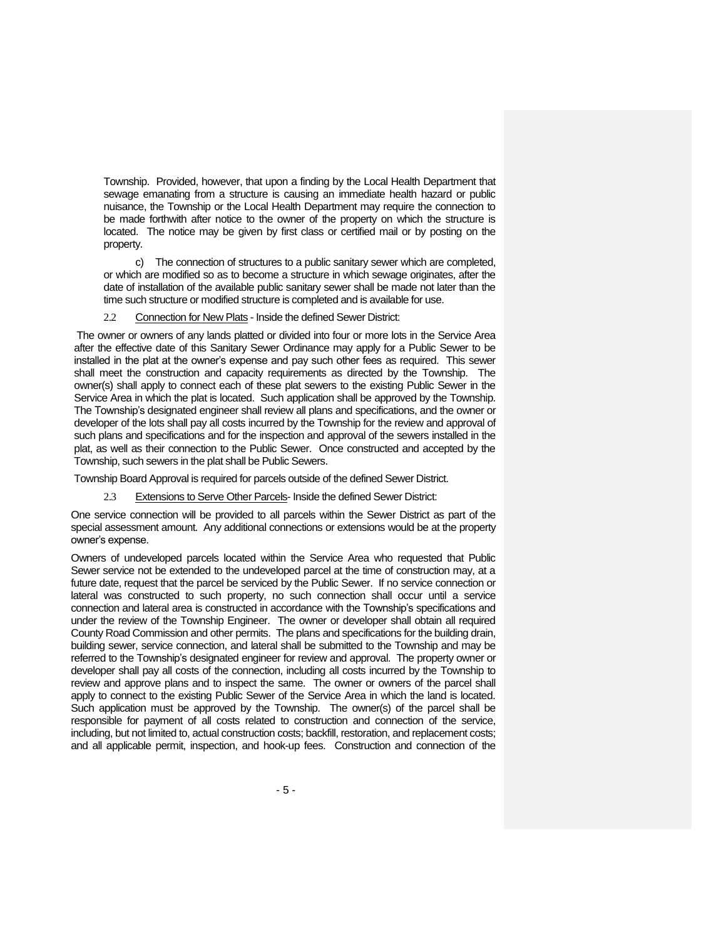Township. Provided, however, that upon a finding by the Local Health Department that sewage emanating from a structure is causing an immediate health hazard or public nuisance, the Township or the Local Health Department may require the connection to be made forthwith after notice to the owner of the property on which the structure is located. The notice may be given by first class or certified mail or by posting on the property.

c) The connection of structures to a public sanitary sewer which are completed, or which are modified so as to become a structure in which sewage originates, after the date of installation of the available public sanitary sewer shall be made not later than the time such structure or modified structure is completed and is available for use.

2.2 Connection for New Plats - Inside the defined Sewer District:

The owner or owners of any lands platted or divided into four or more lots in the Service Area after the effective date of this Sanitary Sewer Ordinance may apply for a Public Sewer to be installed in the plat at the owner's expense and pay such other fees as required. This sewer shall meet the construction and capacity requirements as directed by the Township. The owner(s) shall apply to connect each of these plat sewers to the existing Public Sewer in the Service Area in which the plat is located. Such application shall be approved by the Township. The Township's designated engineer shall review all plans and specifications, and the owner or developer of the lots shall pay all costs incurred by the Township for the review and approval of such plans and specifications and for the inspection and approval of the sewers installed in the plat, as well as their connection to the Public Sewer. Once constructed and accepted by the Township, such sewers in the plat shall be Public Sewers.

Township Board Approval is required for parcels outside of the defined Sewer District.

2.3 Extensions to Serve Other Parcels- Inside the defined Sewer District:

One service connection will be provided to all parcels within the Sewer District as part of the special assessment amount. Any additional connections or extensions would be at the property owner's expense.

Owners of undeveloped parcels located within the Service Area who requested that Public Sewer service not be extended to the undeveloped parcel at the time of construction may, at a future date, request that the parcel be serviced by the Public Sewer. If no service connection or lateral was constructed to such property, no such connection shall occur until a service connection and lateral area is constructed in accordance with the Township's specifications and under the review of the Township Engineer. The owner or developer shall obtain all required County Road Commission and other permits. The plans and specifications for the building drain, building sewer, service connection, and lateral shall be submitted to the Township and may be referred to the Township's designated engineer for review and approval. The property owner or developer shall pay all costs of the connection, including all costs incurred by the Township to review and approve plans and to inspect the same. The owner or owners of the parcel shall apply to connect to the existing Public Sewer of the Service Area in which the land is located. Such application must be approved by the Township. The owner(s) of the parcel shall be responsible for payment of all costs related to construction and connection of the service, including, but not limited to, actual construction costs; backfill, restoration, and replacement costs; and all applicable permit, inspection, and hook-up fees. Construction and connection of the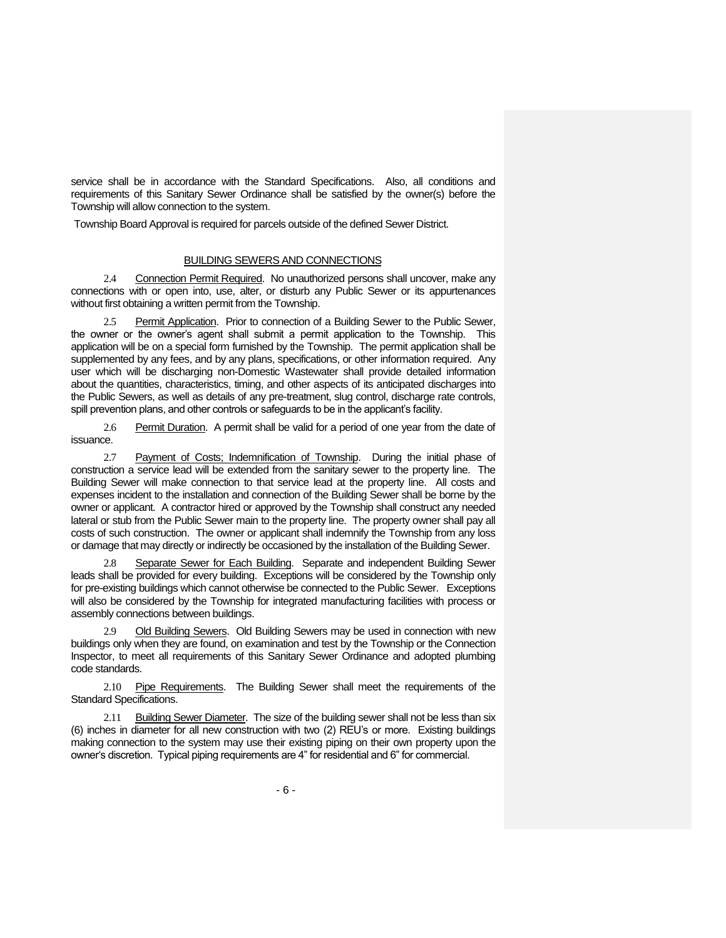service shall be in accordance with the Standard Specifications. Also, all conditions and requirements of this Sanitary Sewer Ordinance shall be satisfied by the owner(s) before the Township will allow connection to the system.

Township Board Approval is required for parcels outside of the defined Sewer District.

#### BUILDING SEWERS AND CONNECTIONS

2.4 Connection Permit Required. No unauthorized persons shall uncover, make any connections with or open into, use, alter, or disturb any Public Sewer or its appurtenances without first obtaining a written permit from the Township.

2.5 Permit Application. Prior to connection of a Building Sewer to the Public Sewer, the owner or the owner's agent shall submit a permit application to the Township. This application will be on a special form furnished by the Township. The permit application shall be supplemented by any fees, and by any plans, specifications, or other information required. Any user which will be discharging non-Domestic Wastewater shall provide detailed information about the quantities, characteristics, timing, and other aspects of its anticipated discharges into the Public Sewers, as well as details of any pre-treatment, slug control, discharge rate controls, spill prevention plans, and other controls or safeguards to be in the applicant's facility.

2.6 Permit Duration. A permit shall be valid for a period of one year from the date of issuance.

2.7 Payment of Costs; Indemnification of Township. During the initial phase of construction a service lead will be extended from the sanitary sewer to the property line. The Building Sewer will make connection to that service lead at the property line. All costs and expenses incident to the installation and connection of the Building Sewer shall be borne by the owner or applicant. A contractor hired or approved by the Township shall construct any needed lateral or stub from the Public Sewer main to the property line. The property owner shall pay all costs of such construction. The owner or applicant shall indemnify the Township from any loss or damage that may directly or indirectly be occasioned by the installation of the Building Sewer.

2.8 Separate Sewer for Each Building. Separate and independent Building Sewer leads shall be provided for every building. Exceptions will be considered by the Township only for pre-existing buildings which cannot otherwise be connected to the Public Sewer. Exceptions will also be considered by the Township for integrated manufacturing facilities with process or assembly connections between buildings.

2.9 Old Building Sewers. Old Building Sewers may be used in connection with new buildings only when they are found, on examination and test by the Township or the Connection Inspector, to meet all requirements of this Sanitary Sewer Ordinance and adopted plumbing code standards.

2.10 Pipe Requirements. The Building Sewer shall meet the requirements of the Standard Specifications.

2.11 Building Sewer Diameter. The size of the building sewer shall not be less than six (6) inches in diameter for all new construction with two (2) REU's or more. Existing buildings making connection to the system may use their existing piping on their own property upon the owner's discretion. Typical piping requirements are 4" for residential and 6" for commercial.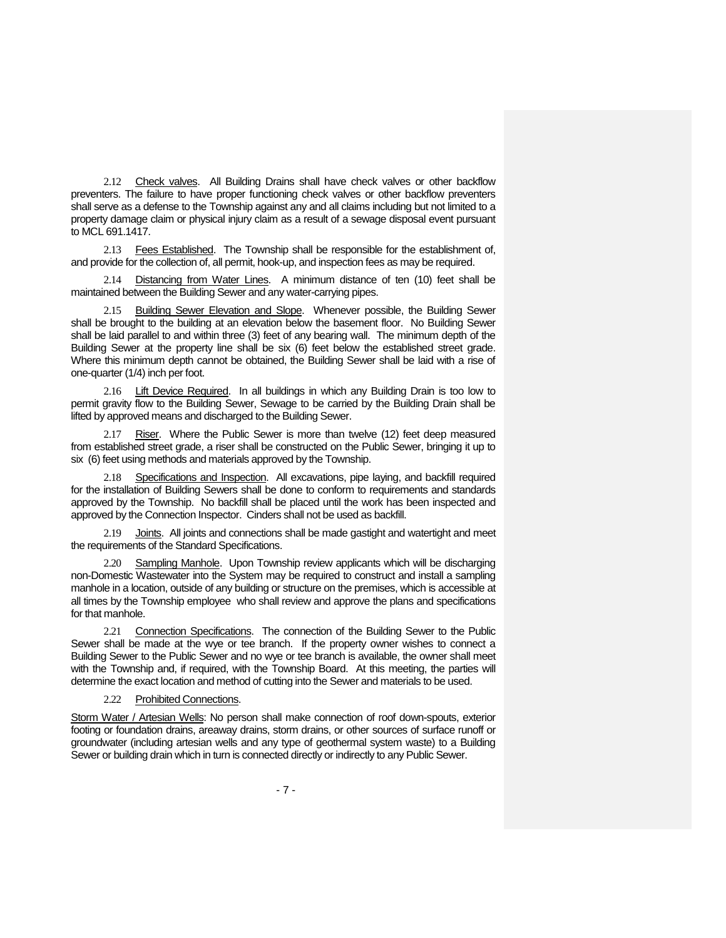2.12 Check valves. All Building Drains shall have check valves or other backflow preventers. The failure to have proper functioning check valves or other backflow preventers shall serve as a defense to the Township against any and all claims including but not limited to a property damage claim or physical injury claim as a result of a sewage disposal event pursuant to MCL 691.1417.

2.13 Fees Established. The Township shall be responsible for the establishment of, and provide for the collection of, all permit, hook-up, and inspection fees as may be required.

2.14 Distancing from Water Lines. A minimum distance of ten (10) feet shall be maintained between the Building Sewer and any water-carrying pipes.

2.15 Building Sewer Elevation and Slope. Whenever possible, the Building Sewer shall be brought to the building at an elevation below the basement floor. No Building Sewer shall be laid parallel to and within three (3) feet of any bearing wall. The minimum depth of the Building Sewer at the property line shall be six (6) feet below the established street grade. Where this minimum depth cannot be obtained, the Building Sewer shall be laid with a rise of one-quarter (1/4) inch per foot.

2.16 Lift Device Required. In all buildings in which any Building Drain is too low to permit gravity flow to the Building Sewer, Sewage to be carried by the Building Drain shall be lifted by approved means and discharged to the Building Sewer.

2.17 Riser. Where the Public Sewer is more than twelve (12) feet deep measured from established street grade, a riser shall be constructed on the Public Sewer, bringing it up to six (6) feet using methods and materials approved by the Township.

2.18 Specifications and Inspection. All excavations, pipe laying, and backfill required for the installation of Building Sewers shall be done to conform to requirements and standards approved by the Township. No backfill shall be placed until the work has been inspected and approved by the Connection Inspector. Cinders shall not be used as backfill.

2.19 Joints. All joints and connections shall be made gastight and watertight and meet the requirements of the Standard Specifications.

2.20 Sampling Manhole. Upon Township review applicants which will be discharging non-Domestic Wastewater into the System may be required to construct and install a sampling manhole in a location, outside of any building or structure on the premises, which is accessible at all times by the Township employee who shall review and approve the plans and specifications for that manhole.

2.21 Connection Specifications. The connection of the Building Sewer to the Public Sewer shall be made at the wye or tee branch. If the property owner wishes to connect a Building Sewer to the Public Sewer and no wye or tee branch is available, the owner shall meet with the Township and, if required, with the Township Board. At this meeting, the parties will determine the exact location and method of cutting into the Sewer and materials to be used.

2.22 Prohibited Connections.

Storm Water / Artesian Wells: No person shall make connection of roof down-spouts, exterior footing or foundation drains, areaway drains, storm drains, or other sources of surface runoff or groundwater (including artesian wells and any type of geothermal system waste) to a Building Sewer or building drain which in turn is connected directly or indirectly to any Public Sewer.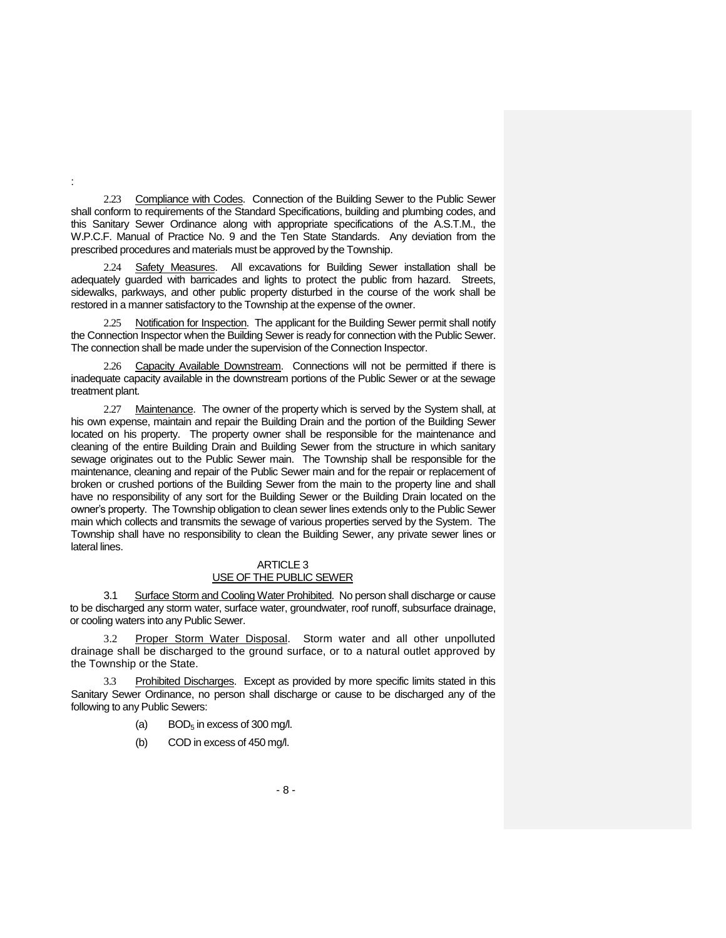2.23 Compliance with Codes. Connection of the Building Sewer to the Public Sewer shall conform to requirements of the Standard Specifications, building and plumbing codes, and this Sanitary Sewer Ordinance along with appropriate specifications of the A.S.T.M., the W.P.C.F. Manual of Practice No. 9 and the Ten State Standards. Any deviation from the prescribed procedures and materials must be approved by the Township.

:

2.24 Safety Measures. All excavations for Building Sewer installation shall be adequately guarded with barricades and lights to protect the public from hazard. Streets, sidewalks, parkways, and other public property disturbed in the course of the work shall be restored in a manner satisfactory to the Township at the expense of the owner.

2.25 Notification for Inspection. The applicant for the Building Sewer permit shall notify the Connection Inspector when the Building Sewer is ready for connection with the Public Sewer. The connection shall be made under the supervision of the Connection Inspector.

2.26 Capacity Available Downstream. Connections will not be permitted if there is inadequate capacity available in the downstream portions of the Public Sewer or at the sewage treatment plant.

2.27 Maintenance. The owner of the property which is served by the System shall, at his own expense, maintain and repair the Building Drain and the portion of the Building Sewer located on his property. The property owner shall be responsible for the maintenance and cleaning of the entire Building Drain and Building Sewer from the structure in which sanitary sewage originates out to the Public Sewer main. The Township shall be responsible for the maintenance, cleaning and repair of the Public Sewer main and for the repair or replacement of broken or crushed portions of the Building Sewer from the main to the property line and shall have no responsibility of any sort for the Building Sewer or the Building Drain located on the owner's property. The Township obligation to clean sewer lines extends only to the Public Sewer main which collects and transmits the sewage of various properties served by the System. The Township shall have no responsibility to clean the Building Sewer, any private sewer lines or lateral lines.

# ARTICLE 3 USE OF THE PUBLIC SEWER

3.1 Surface Storm and Cooling Water Prohibited. No person shall discharge or cause to be discharged any storm water, surface water, groundwater, roof runoff, subsurface drainage, or cooling waters into any Public Sewer.

3.2 Proper Storm Water Disposal. Storm water and all other unpolluted drainage shall be discharged to the ground surface, or to a natural outlet approved by the Township or the State.

3.3 Prohibited Discharges. Except as provided by more specific limits stated in this Sanitary Sewer Ordinance, no person shall discharge or cause to be discharged any of the following to any Public Sewers:

- (a) BOD<sub>5</sub> in excess of 300 mg/l.
- (b) COD in excess of 450 mg/l.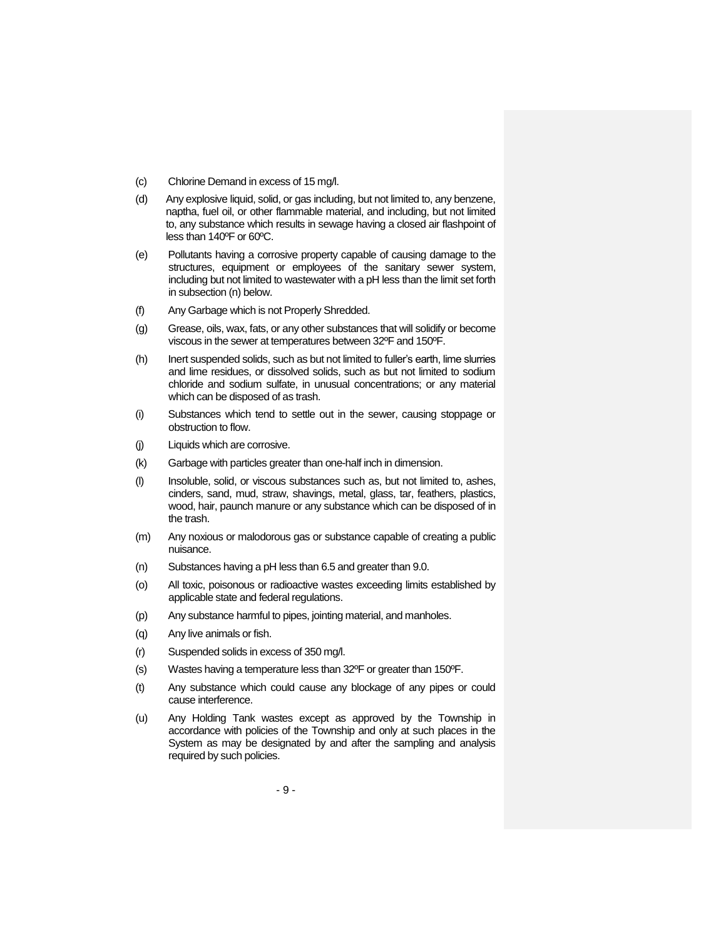- (c) Chlorine Demand in excess of 15 mg/l.
- (d) Any explosive liquid, solid, or gas including, but not limited to, any benzene, naptha, fuel oil, or other flammable material, and including, but not limited to, any substance which results in sewage having a closed air flashpoint of less than 140ºF or 60ºC.
- (e) Pollutants having a corrosive property capable of causing damage to the structures, equipment or employees of the sanitary sewer system, including but not limited to wastewater with a pH less than the limit set forth in subsection (n) below.
- (f) Any Garbage which is not Properly Shredded.
- (g) Grease, oils, wax, fats, or any other substances that will solidify or become viscous in the sewer at temperatures between 32ºF and 150ºF.
- (h) Inert suspended solids, such as but not limited to fuller's earth, lime slurries and lime residues, or dissolved solids, such as but not limited to sodium chloride and sodium sulfate, in unusual concentrations; or any material which can be disposed of as trash.
- (i) Substances which tend to settle out in the sewer, causing stoppage or obstruction to flow.
- (j) Liquids which are corrosive.
- (k) Garbage with particles greater than one-half inch in dimension.
- (l) Insoluble, solid, or viscous substances such as, but not limited to, ashes, cinders, sand, mud, straw, shavings, metal, glass, tar, feathers, plastics, wood, hair, paunch manure or any substance which can be disposed of in the trash.
- (m) Any noxious or malodorous gas or substance capable of creating a public nuisance.
- (n) Substances having a pH less than 6.5 and greater than 9.0.
- (o) All toxic, poisonous or radioactive wastes exceeding limits established by applicable state and federal regulations.
- (p) Any substance harmful to pipes, jointing material, and manholes.
- (q) Any live animals or fish.
- (r) Suspended solids in excess of 350 mg/l.
- (s) Wastes having a temperature less than 32ºF or greater than 150ºF.
- (t) Any substance which could cause any blockage of any pipes or could cause interference.
- (u) Any Holding Tank wastes except as approved by the Township in accordance with policies of the Township and only at such places in the System as may be designated by and after the sampling and analysis required by such policies.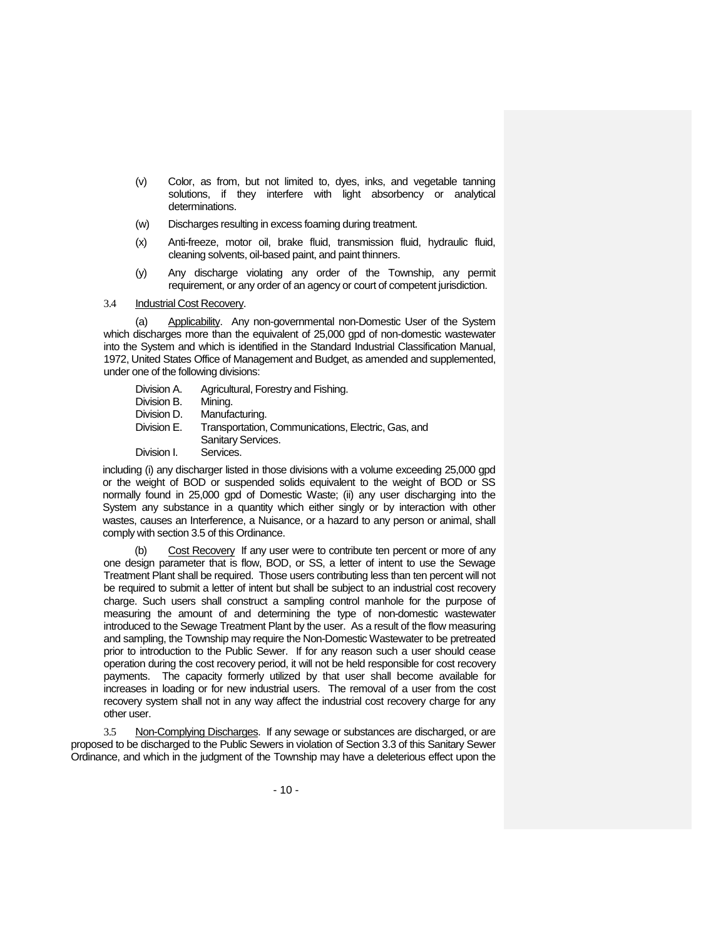- (v) Color, as from, but not limited to, dyes, inks, and vegetable tanning solutions, if they interfere with light absorbency or analytical determinations.
- (w) Discharges resulting in excess foaming during treatment.
- (x) Anti-freeze, motor oil, brake fluid, transmission fluid, hydraulic fluid, cleaning solvents, oil-based paint, and paint thinners.
- (y) Any discharge violating any order of the Township, any permit requirement, or any order of an agency or court of competent jurisdiction.

### 3.4 Industrial Cost Recovery.

(a) Applicability. Any non-governmental non-Domestic User of the System which discharges more than the equivalent of 25,000 gpd of non-domestic wastewater into the System and which is identified in the Standard Industrial Classification Manual, 1972, United States Office of Management and Budget, as amended and supplemented, under one of the following divisions:

| Division A. | Agricultural, Forestry and Fishing.                |
|-------------|----------------------------------------------------|
| Division B. | Mining.                                            |
| Division D. | Manufacturing.                                     |
| Division E. | Transportation, Communications, Electric, Gas, and |
|             | Sanitary Services.                                 |
| Division I. | Services.                                          |

including (i) any discharger listed in those divisions with a volume exceeding 25,000 gpd or the weight of BOD or suspended solids equivalent to the weight of BOD or SS normally found in 25,000 gpd of Domestic Waste; (ii) any user discharging into the System any substance in a quantity which either singly or by interaction with other wastes, causes an Interference, a Nuisance, or a hazard to any person or animal, shall comply with section 3.5 of this Ordinance.

(b) Cost Recovery If any user were to contribute ten percent or more of any one design parameter that is flow, BOD, or SS, a letter of intent to use the Sewage Treatment Plant shall be required. Those users contributing less than ten percent will not be required to submit a letter of intent but shall be subject to an industrial cost recovery charge. Such users shall construct a sampling control manhole for the purpose of measuring the amount of and determining the type of non-domestic wastewater introduced to the Sewage Treatment Plant by the user. As a result of the flow measuring and sampling, the Township may require the Non-Domestic Wastewater to be pretreated prior to introduction to the Public Sewer. If for any reason such a user should cease operation during the cost recovery period, it will not be held responsible for cost recovery payments. The capacity formerly utilized by that user shall become available for increases in loading or for new industrial users. The removal of a user from the cost recovery system shall not in any way affect the industrial cost recovery charge for any other user.

3.5 Non-Complying Discharges. If any sewage or substances are discharged, or are proposed to be discharged to the Public Sewers in violation of Section 3.3 of this Sanitary Sewer Ordinance, and which in the judgment of the Township may have a deleterious effect upon the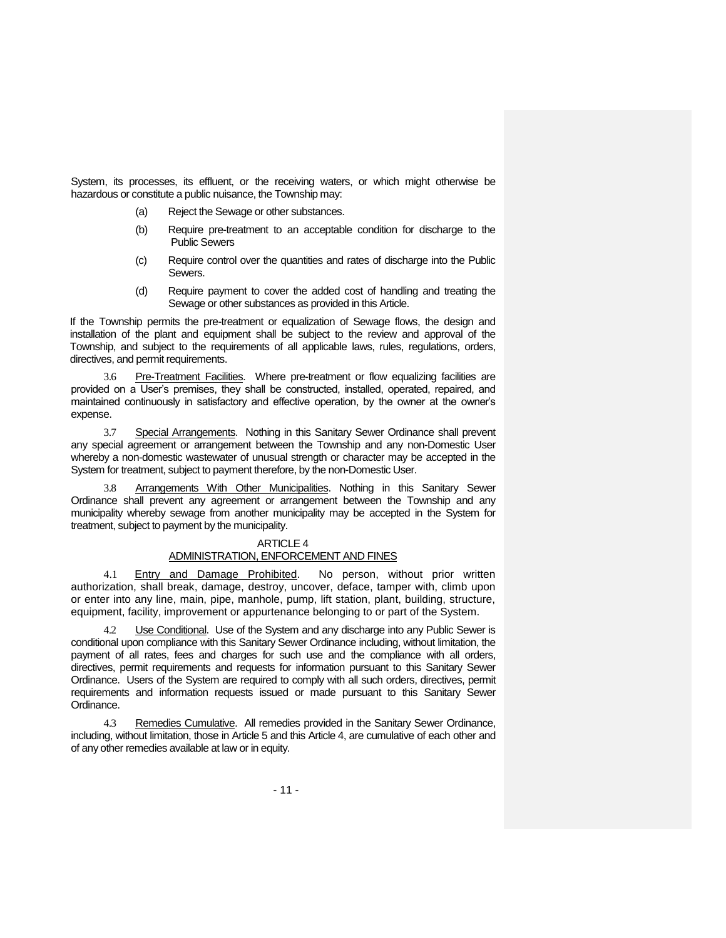System, its processes, its effluent, or the receiving waters, or which might otherwise be hazardous or constitute a public nuisance, the Township may:

- (a) Reject the Sewage or other substances.
- (b) Require pre-treatment to an acceptable condition for discharge to the Public Sewers
- (c) Require control over the quantities and rates of discharge into the Public Sewers.
- (d) Require payment to cover the added cost of handling and treating the Sewage or other substances as provided in this Article.

If the Township permits the pre-treatment or equalization of Sewage flows, the design and installation of the plant and equipment shall be subject to the review and approval of the Township, and subject to the requirements of all applicable laws, rules, regulations, orders, directives, and permit requirements.

3.6 Pre-Treatment Facilities. Where pre-treatment or flow equalizing facilities are provided on a User's premises, they shall be constructed, installed, operated, repaired, and maintained continuously in satisfactory and effective operation, by the owner at the owner's expense.

3.7 Special Arrangements. Nothing in this Sanitary Sewer Ordinance shall prevent any special agreement or arrangement between the Township and any non-Domestic User whereby a non-domestic wastewater of unusual strength or character may be accepted in the System for treatment, subject to payment therefore, by the non-Domestic User.

3.8 Arrangements With Other Municipalities. Nothing in this Sanitary Sewer Ordinance shall prevent any agreement or arrangement between the Township and any municipality whereby sewage from another municipality may be accepted in the System for treatment, subject to payment by the municipality.

# ARTICLE 4

# ADMINISTRATION, ENFORCEMENT AND FINES

4.1 Entry and Damage Prohibited. No person, without prior written authorization, shall break, damage, destroy, uncover, deface, tamper with, climb upon or enter into any line, main, pipe, manhole, pump, lift station, plant, building, structure, equipment, facility, improvement or appurtenance belonging to or part of the System.

4.2 Use Conditional. Use of the System and any discharge into any Public Sewer is conditional upon compliance with this Sanitary Sewer Ordinance including, without limitation, the payment of all rates, fees and charges for such use and the compliance with all orders, directives, permit requirements and requests for information pursuant to this Sanitary Sewer Ordinance. Users of the System are required to comply with all such orders, directives, permit requirements and information requests issued or made pursuant to this Sanitary Sewer Ordinance.

Remedies Cumulative. All remedies provided in the Sanitary Sewer Ordinance, including, without limitation, those in Article 5 and this Article 4, are cumulative of each other and of any other remedies available at law or in equity.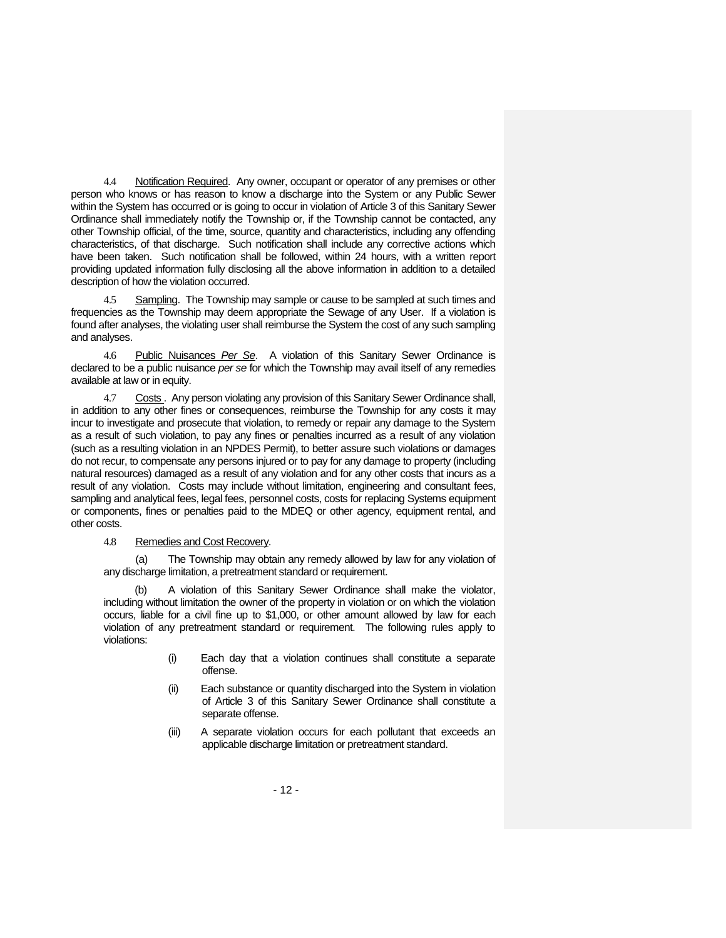4.4 Notification Required. Any owner, occupant or operator of any premises or other person who knows or has reason to know a discharge into the System or any Public Sewer within the System has occurred or is going to occur in violation of Article 3 of this Sanitary Sewer Ordinance shall immediately notify the Township or, if the Township cannot be contacted, any other Township official, of the time, source, quantity and characteristics, including any offending characteristics, of that discharge. Such notification shall include any corrective actions which have been taken. Such notification shall be followed, within 24 hours, with a written report providing updated information fully disclosing all the above information in addition to a detailed description of how the violation occurred.

Sampling. The Township may sample or cause to be sampled at such times and frequencies as the Township may deem appropriate the Sewage of any User. If a violation is found after analyses, the violating user shall reimburse the System the cost of any such sampling and analyses.

4.6 Public Nuisances *Per Se*. A violation of this Sanitary Sewer Ordinance is declared to be a public nuisance *per se* for which the Township may avail itself of any remedies available at law or in equity.

4.7 Costs . Any person violating any provision of this Sanitary Sewer Ordinance shall, in addition to any other fines or consequences, reimburse the Township for any costs it may incur to investigate and prosecute that violation, to remedy or repair any damage to the System as a result of such violation, to pay any fines or penalties incurred as a result of any violation (such as a resulting violation in an NPDES Permit), to better assure such violations or damages do not recur, to compensate any persons injured or to pay for any damage to property (including natural resources) damaged as a result of any violation and for any other costs that incurs as a result of any violation. Costs may include without limitation, engineering and consultant fees, sampling and analytical fees, legal fees, personnel costs, costs for replacing Systems equipment or components, fines or penalties paid to the MDEQ or other agency, equipment rental, and other costs.

4.8 Remedies and Cost Recovery.

(a) The Township may obtain any remedy allowed by law for any violation of any discharge limitation, a pretreatment standard or requirement.

A violation of this Sanitary Sewer Ordinance shall make the violator, including without limitation the owner of the property in violation or on which the violation occurs, liable for a civil fine up to \$1,000, or other amount allowed by law for each violation of any pretreatment standard or requirement. The following rules apply to violations:

- (i) Each day that a violation continues shall constitute a separate offense.
- (ii) Each substance or quantity discharged into the System in violation of Article 3 of this Sanitary Sewer Ordinance shall constitute a separate offense.
- (iii) A separate violation occurs for each pollutant that exceeds an applicable discharge limitation or pretreatment standard.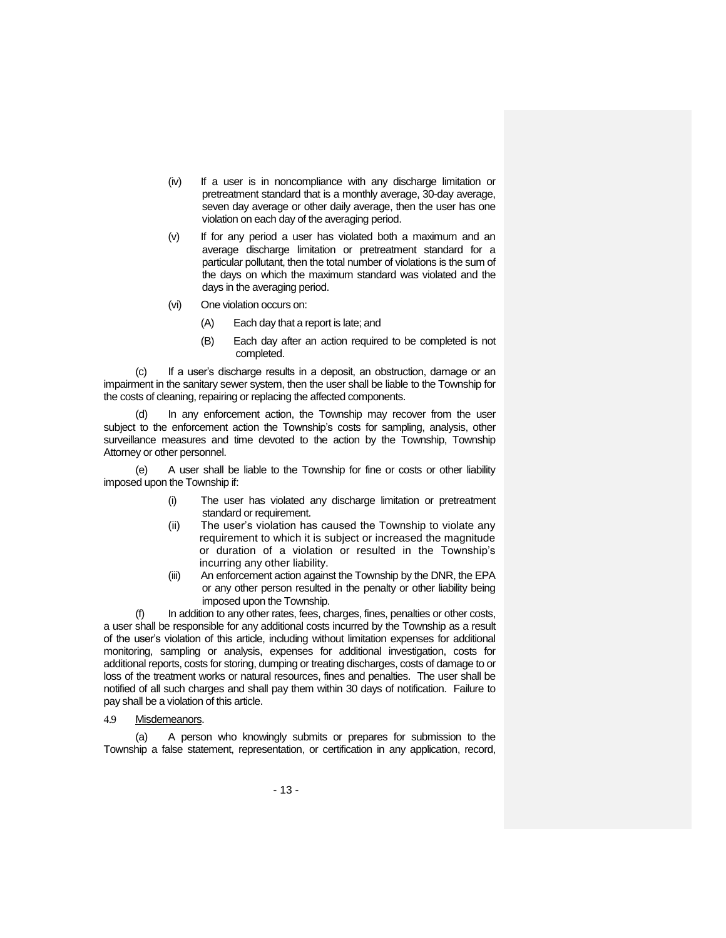- (iv) If a user is in noncompliance with any discharge limitation or pretreatment standard that is a monthly average, 30-day average, seven day average or other daily average, then the user has one violation on each day of the averaging period.
- (v) If for any period a user has violated both a maximum and an average discharge limitation or pretreatment standard for a particular pollutant, then the total number of violations is the sum of the days on which the maximum standard was violated and the days in the averaging period.
- (vi) One violation occurs on:
	- (A) Each day that a report is late; and
	- (B) Each day after an action required to be completed is not completed.

If a user's discharge results in a deposit, an obstruction, damage or an impairment in the sanitary sewer system, then the user shall be liable to the Township for the costs of cleaning, repairing or replacing the affected components.

In any enforcement action, the Township may recover from the user subject to the enforcement action the Township's costs for sampling, analysis, other surveillance measures and time devoted to the action by the Township, Township Attorney or other personnel.

(e) A user shall be liable to the Township for fine or costs or other liability imposed upon the Township if:

- (i) The user has violated any discharge limitation or pretreatment standard or requirement.
- (ii) The user's violation has caused the Township to violate any requirement to which it is subject or increased the magnitude or duration of a violation or resulted in the Township's incurring any other liability.
- (iii) An enforcement action against the Township by the DNR, the EPA or any other person resulted in the penalty or other liability being imposed upon the Township.

(f) In addition to any other rates, fees, charges, fines, penalties or other costs, a user shall be responsible for any additional costs incurred by the Township as a result of the user's violation of this article, including without limitation expenses for additional monitoring, sampling or analysis, expenses for additional investigation, costs for additional reports, costs for storing, dumping or treating discharges, costs of damage to or loss of the treatment works or natural resources, fines and penalties. The user shall be notified of all such charges and shall pay them within 30 days of notification. Failure to pay shall be a violation of this article.

4.9 Misdemeanors.

(a) A person who knowingly submits or prepares for submission to the Township a false statement, representation, or certification in any application, record,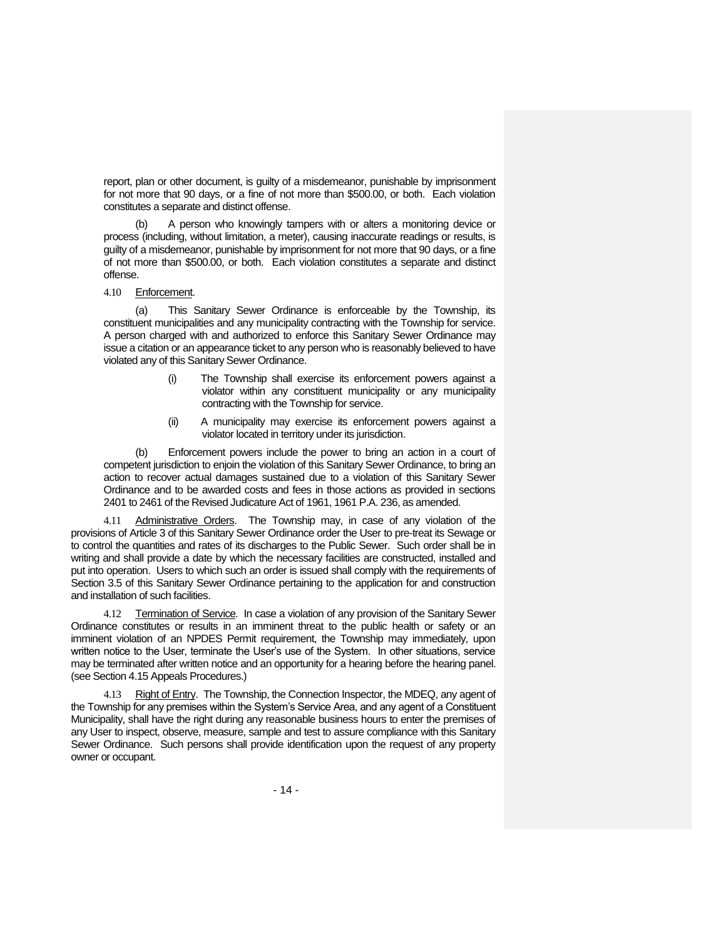report, plan or other document, is guilty of a misdemeanor, punishable by imprisonment for not more that 90 days, or a fine of not more than \$500.00, or both. Each violation constitutes a separate and distinct offense.

A person who knowingly tampers with or alters a monitoring device or process (including, without limitation, a meter), causing inaccurate readings or results, is guilty of a misdemeanor, punishable by imprisonment for not more that 90 days, or a fine of not more than \$500.00, or both. Each violation constitutes a separate and distinct offense.

#### 4.10 Enforcement.

(a) This Sanitary Sewer Ordinance is enforceable by the Township, its constituent municipalities and any municipality contracting with the Township for service. A person charged with and authorized to enforce this Sanitary Sewer Ordinance may issue a citation or an appearance ticket to any person who is reasonably believed to have violated any of this Sanitary Sewer Ordinance.

- (i) The Township shall exercise its enforcement powers against a violator within any constituent municipality or any municipality contracting with the Township for service.
- (ii) A municipality may exercise its enforcement powers against a violator located in territory under its jurisdiction.

(b) Enforcement powers include the power to bring an action in a court of competent jurisdiction to enjoin the violation of this Sanitary Sewer Ordinance, to bring an action to recover actual damages sustained due to a violation of this Sanitary Sewer Ordinance and to be awarded costs and fees in those actions as provided in sections 2401 to 2461 of the Revised Judicature Act of 1961, 1961 P.A. 236, as amended.

4.11 Administrative Orders. The Township may, in case of any violation of the provisions of Article 3 of this Sanitary Sewer Ordinance order the User to pre-treat its Sewage or to control the quantities and rates of its discharges to the Public Sewer. Such order shall be in writing and shall provide a date by which the necessary facilities are constructed, installed and put into operation. Users to which such an order is issued shall comply with the requirements of Section 3.5 of this Sanitary Sewer Ordinance pertaining to the application for and construction and installation of such facilities.

4.12 Termination of Service. In case a violation of any provision of the Sanitary Sewer Ordinance constitutes or results in an imminent threat to the public health or safety or an imminent violation of an NPDES Permit requirement, the Township may immediately, upon written notice to the User, terminate the User's use of the System. In other situations, service may be terminated after written notice and an opportunity for a hearing before the hearing panel. (see Section 4.15 Appeals Procedures.)

4.13 Right of Entry. The Township, the Connection Inspector, the MDEQ, any agent of the Township for any premises within the System's Service Area, and any agent of a Constituent Municipality, shall have the right during any reasonable business hours to enter the premises of any User to inspect, observe, measure, sample and test to assure compliance with this Sanitary Sewer Ordinance. Such persons shall provide identification upon the request of any property owner or occupant.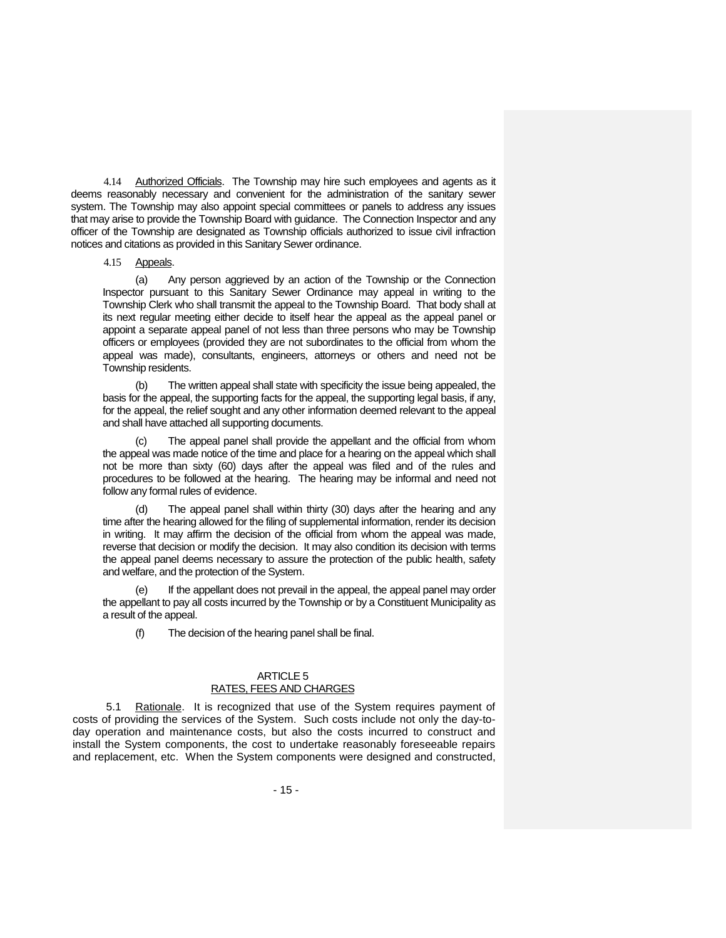4.14 Authorized Officials. The Township may hire such employees and agents as it deems reasonably necessary and convenient for the administration of the sanitary sewer system. The Township may also appoint special committees or panels to address any issues that may arise to provide the Township Board with guidance. The Connection Inspector and any officer of the Township are designated as Township officials authorized to issue civil infraction notices and citations as provided in this Sanitary Sewer ordinance.

## 4.15 Appeals.

(a) Any person aggrieved by an action of the Township or the Connection Inspector pursuant to this Sanitary Sewer Ordinance may appeal in writing to the Township Clerk who shall transmit the appeal to the Township Board. That body shall at its next regular meeting either decide to itself hear the appeal as the appeal panel or appoint a separate appeal panel of not less than three persons who may be Township officers or employees (provided they are not subordinates to the official from whom the appeal was made), consultants, engineers, attorneys or others and need not be Township residents.

(b) The written appeal shall state with specificity the issue being appealed, the basis for the appeal, the supporting facts for the appeal, the supporting legal basis, if any, for the appeal, the relief sought and any other information deemed relevant to the appeal and shall have attached all supporting documents.

The appeal panel shall provide the appellant and the official from whom the appeal was made notice of the time and place for a hearing on the appeal which shall not be more than sixty (60) days after the appeal was filed and of the rules and procedures to be followed at the hearing. The hearing may be informal and need not follow any formal rules of evidence.

The appeal panel shall within thirty (30) days after the hearing and any time after the hearing allowed for the filing of supplemental information, render its decision in writing. It may affirm the decision of the official from whom the appeal was made, reverse that decision or modify the decision. It may also condition its decision with terms the appeal panel deems necessary to assure the protection of the public health, safety and welfare, and the protection of the System.

(e) If the appellant does not prevail in the appeal, the appeal panel may order the appellant to pay all costs incurred by the Township or by a Constituent Municipality as a result of the appeal.

(f) The decision of the hearing panel shall be final.

## ARTICLE 5 RATES, FEES AND CHARGES

5.1 Rationale. It is recognized that use of the System requires payment of costs of providing the services of the System. Such costs include not only the day-today operation and maintenance costs, but also the costs incurred to construct and install the System components, the cost to undertake reasonably foreseeable repairs and replacement, etc. When the System components were designed and constructed,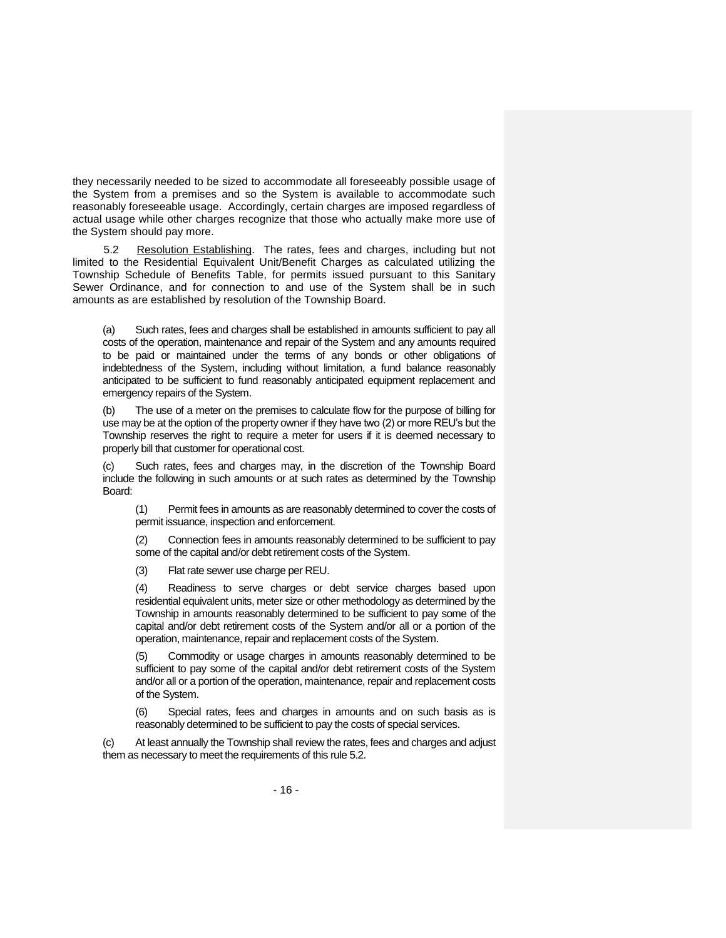they necessarily needed to be sized to accommodate all foreseeably possible usage of the System from a premises and so the System is available to accommodate such reasonably foreseeable usage. Accordingly, certain charges are imposed regardless of actual usage while other charges recognize that those who actually make more use of the System should pay more.

5.2 Resolution Establishing. The rates, fees and charges, including but not limited to the Residential Equivalent Unit/Benefit Charges as calculated utilizing the Township Schedule of Benefits Table, for permits issued pursuant to this Sanitary Sewer Ordinance, and for connection to and use of the System shall be in such amounts as are established by resolution of the Township Board.

(a) Such rates, fees and charges shall be established in amounts sufficient to pay all costs of the operation, maintenance and repair of the System and any amounts required to be paid or maintained under the terms of any bonds or other obligations of indebtedness of the System, including without limitation, a fund balance reasonably anticipated to be sufficient to fund reasonably anticipated equipment replacement and emergency repairs of the System.

(b) The use of a meter on the premises to calculate flow for the purpose of billing for use may be at the option of the property owner if they have two (2) or more REU's but the Township reserves the right to require a meter for users if it is deemed necessary to properly bill that customer for operational cost.

(c) Such rates, fees and charges may, in the discretion of the Township Board include the following in such amounts or at such rates as determined by the Township Board:

(1) Permit fees in amounts as are reasonably determined to cover the costs of permit issuance, inspection and enforcement.

(2) Connection fees in amounts reasonably determined to be sufficient to pay some of the capital and/or debt retirement costs of the System.

(3) Flat rate sewer use charge per REU.

(4) Readiness to serve charges or debt service charges based upon residential equivalent units, meter size or other methodology as determined by the Township in amounts reasonably determined to be sufficient to pay some of the capital and/or debt retirement costs of the System and/or all or a portion of the operation, maintenance, repair and replacement costs of the System.

(5) Commodity or usage charges in amounts reasonably determined to be sufficient to pay some of the capital and/or debt retirement costs of the System and/or all or a portion of the operation, maintenance, repair and replacement costs of the System.

(6) Special rates, fees and charges in amounts and on such basis as is reasonably determined to be sufficient to pay the costs of special services.

(c) At least annually the Township shall review the rates, fees and charges and adjust them as necessary to meet the requirements of this rule 5.2.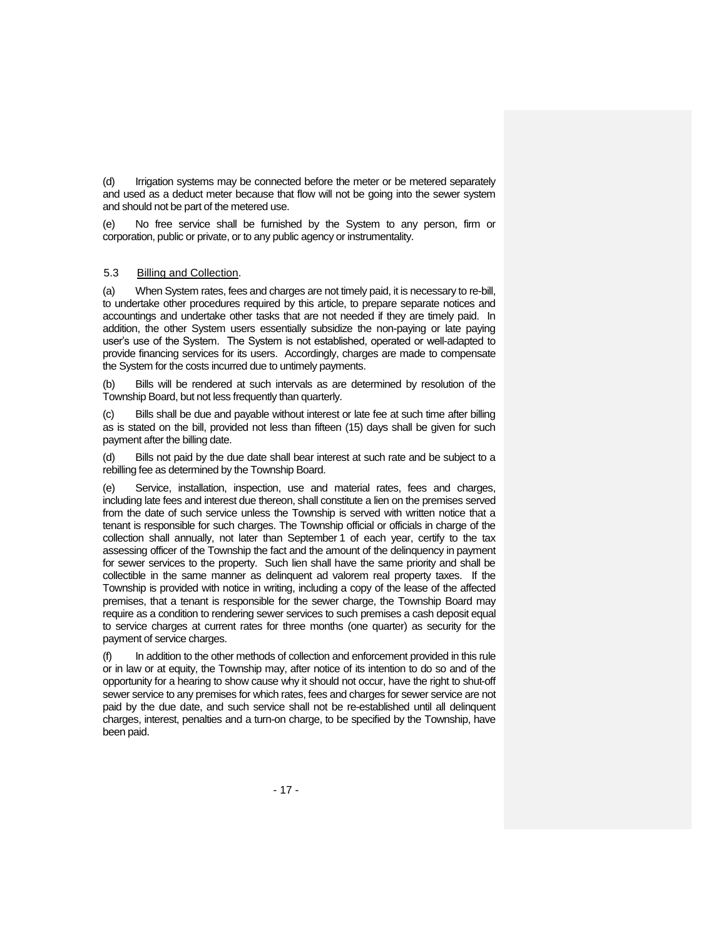(d) Irrigation systems may be connected before the meter or be metered separately and used as a deduct meter because that flow will not be going into the sewer system and should not be part of the metered use.

No free service shall be furnished by the System to any person, firm or corporation, public or private, or to any public agency or instrumentality.

# 5.3 Billing and Collection.

(a) When System rates, fees and charges are not timely paid, it is necessary to re-bill, to undertake other procedures required by this article, to prepare separate notices and accountings and undertake other tasks that are not needed if they are timely paid. In addition, the other System users essentially subsidize the non-paying or late paying user's use of the System. The System is not established, operated or well-adapted to provide financing services for its users. Accordingly, charges are made to compensate the System for the costs incurred due to untimely payments.

(b) Bills will be rendered at such intervals as are determined by resolution of the Township Board, but not less frequently than quarterly.

(c) Bills shall be due and payable without interest or late fee at such time after billing as is stated on the bill, provided not less than fifteen (15) days shall be given for such payment after the billing date.

(d) Bills not paid by the due date shall bear interest at such rate and be subject to a rebilling fee as determined by the Township Board.

(e) Service, installation, inspection, use and material rates, fees and charges, including late fees and interest due thereon, shall constitute a lien on the premises served from the date of such service unless the Township is served with written notice that a tenant is responsible for such charges. The Township official or officials in charge of the collection shall annually, not later than September 1 of each year, certify to the tax assessing officer of the Township the fact and the amount of the delinquency in payment for sewer services to the property. Such lien shall have the same priority and shall be collectible in the same manner as delinquent ad valorem real property taxes. If the Township is provided with notice in writing, including a copy of the lease of the affected premises, that a tenant is responsible for the sewer charge, the Township Board may require as a condition to rendering sewer services to such premises a cash deposit equal to service charges at current rates for three months (one quarter) as security for the payment of service charges.

In addition to the other methods of collection and enforcement provided in this rule or in law or at equity, the Township may, after notice of its intention to do so and of the opportunity for a hearing to show cause why it should not occur, have the right to shut-off sewer service to any premises for which rates, fees and charges for sewer service are not paid by the due date, and such service shall not be re-established until all delinquent charges, interest, penalties and a turn-on charge, to be specified by the Township, have been paid.